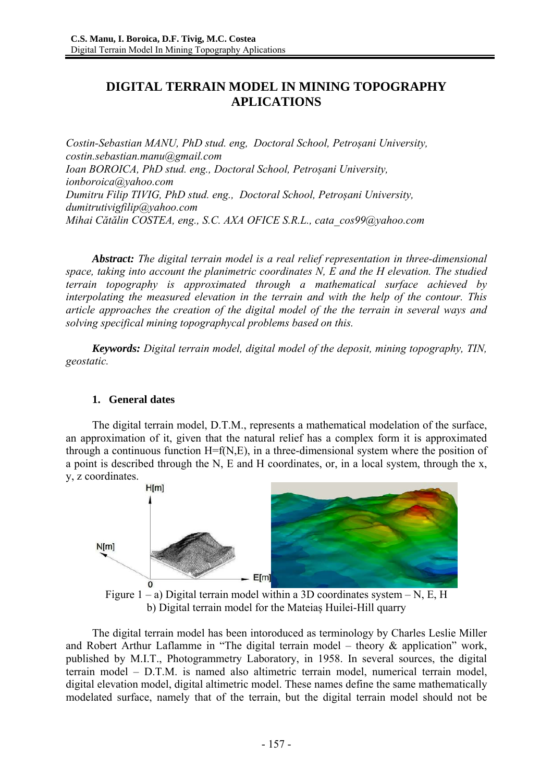# **DIGITAL TERRAIN MODEL IN MINING TOPOGRAPHY APLICATIONS**

*Costin-Sebastian MANU, PhD stud. eng, Doctoral School, Petroșani University, costin.sebastian.manu@gmail.com Ioan BOROICA, PhD stud. eng., Doctoral School, Petroșani University, ionboroica@yahoo.com Dumitru Filip TIVIG, PhD stud. eng., Doctoral School, Petroșani University, dumitrutivigfilip@yahoo.com Mihai Cătălin COSTEA, eng., S.C. AXA OFICE S.R.L., cata\_cos99@yahoo.com* 

*Abstract: The digital terrain model is a real relief representation in three-dimensional space, taking into account the planimetric coordinates N, E and the H elevation. The studied terrain topography is approximated through a mathematical surface achieved by interpolating the measured elevation in the terrain and with the help of the contour. This article approaches the creation of the digital model of the the terrain in several ways and solving specifical mining topographycal problems based on this.* 

*Keywords: Digital terrain model, digital model of the deposit, mining topography, TIN, geostatic.* 

### **1. General dates**

The digital terrain model, D.T.M., represents a mathematical modelation of the surface, an approximation of it, given that the natural relief has a complex form it is approximated through a continuous function H=f(N,E), in a three-dimensional system where the position of a point is described through the N, E and H coordinates, or, in a local system, through the x, y, z coordinates.



Figure  $1 - a$ ) Digital terrain model within a 3D coordinates system  $- N$ , E, H b) Digital terrain model for the Mateiaș Huilei-Hill quarry

The digital terrain model has been intoroduced as terminology by Charles Leslie Miller and Robert Arthur Laflamme in "The digital terrain model – theory & application" work, published by M.I.T., Photogrammetry Laboratory, in 1958. In several sources, the digital terrain model – D.T.M. is named also altimetric terrain model, numerical terrain model, digital elevation model, digital altimetric model. These names define the same mathematically modelated surface, namely that of the terrain, but the digital terrain model should not be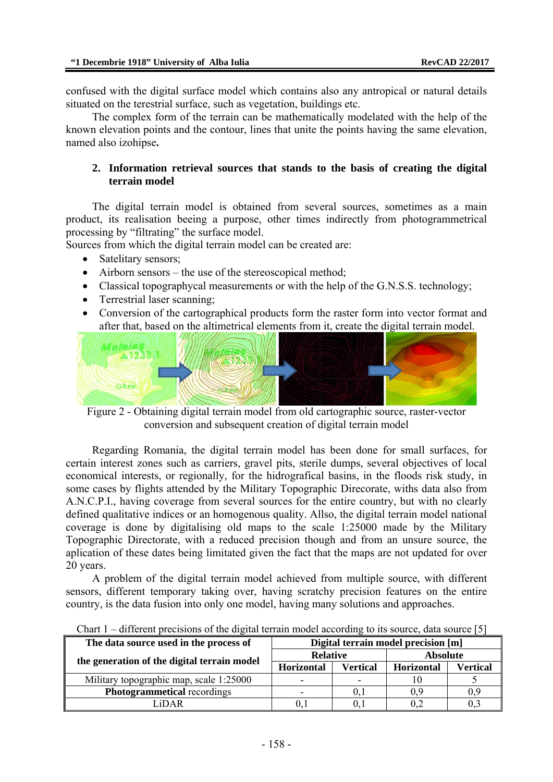confused with the digital surface model which contains also any antropical or natural details situated on the terestrial surface, such as vegetation, buildings etc.

The complex form of the terrain can be mathematically modelated with the help of the known elevation points and the contour, lines that unite the points having the same elevation, named also izohipse**.** 

### **2. Information retrieval sources that stands to the basis of creating the digital terrain model**

The digital terrain model is obtained from several sources, sometimes as a main product, its realisation beeing a purpose, other times indirectly from photogrammetrical processing by "filtrating" the surface model.

Sources from which the digital terrain model can be created are:

- Satelitary sensors;
- Airborn sensors the use of the stereoscopical method;
- Classical topographycal measurements or with the help of the G.N.S.S. technology;
- Terrestrial laser scanning;
- Conversion of the cartographical products form the raster form into vector format and after that, based on the altimetrical elements from it, create the digital terrain model.



Figure 2 - Obtaining digital terrain model from old cartographic source, raster-vector conversion and subsequent creation of digital terrain model

Regarding Romania, the digital terrain model has been done for small surfaces, for certain interest zones such as carriers, gravel pits, sterile dumps, several objectives of local economical interests, or regionally, for the hidrografical basins, in the floods risk study, in some cases by flights attended by the Military Topographic Direcorate, withs data also from A.N.C.P.I., having coverage from several sources for the entire country, but with no clearly defined qualitative indices or an homogenous quality. Allso, the digital terrain model national coverage is done by digitalising old maps to the scale 1:25000 made by the Military Topographic Directorate, with a reduced precision though and from an unsure source, the aplication of these dates being limitated given the fact that the maps are not updated for over 20 years.

A problem of the digital terrain model achieved from multiple source, with different sensors, different temporary taking over, having scratchy precision features on the entire country, is the data fusion into only one model, having many solutions and approaches.

| The data source used in the process of      | Digital terrain model precision [m] |          |                 |          |
|---------------------------------------------|-------------------------------------|----------|-----------------|----------|
| the generation of the digital terrain model | <b>Relative</b>                     |          | <b>Absolute</b> |          |
|                                             | Horizontal                          | Vertical | Horizontal      | Vertical |
| Military topographic map, scale 1:25000     |                                     | -        |                 |          |
| <b>Photogrammetical recordings</b>          |                                     | U.I      | 0.9             | 0,9      |
| iDAR                                        |                                     |          |                 |          |

Chart  $1 -$  different precisions of the digital terrain model according to its source, data source [5]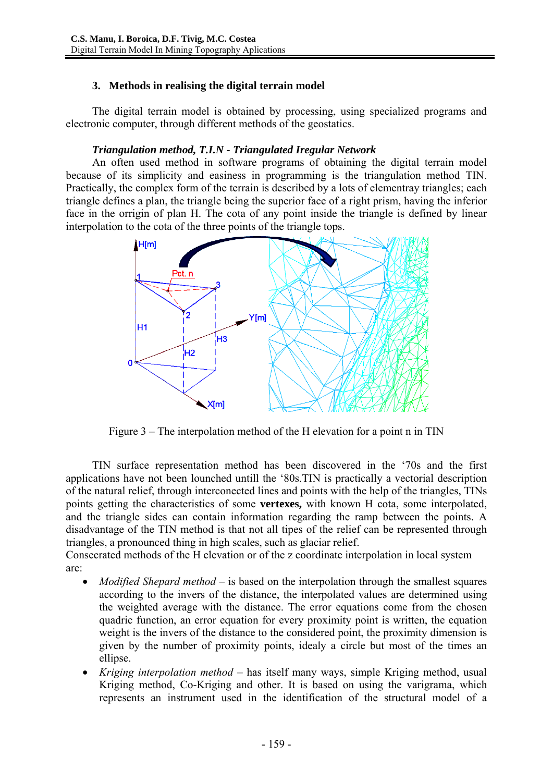## **3. Methods in realising the digital terrain model**

The digital terrain model is obtained by processing, using specialized programs and electronic computer, through different methods of the geostatics.

### *Triangulation method, T.I.N - Triangulated Iregular Network*

An often used method in software programs of obtaining the digital terrain model because of its simplicity and easiness in programming is the triangulation method TIN. Practically, the complex form of the terrain is described by a lots of elementray triangles; each triangle defines a plan, the triangle being the superior face of a right prism, having the inferior face in the orrigin of plan H. The cota of any point inside the triangle is defined by linear interpolation to the cota of the three points of the triangle tops.



Figure 3 – The interpolation method of the H elevation for a point n in TIN

TIN surface representation method has been discovered in the '70s and the first applications have not been lounched untill the '80s.TIN is practically a vectorial description of the natural relief, through interconected lines and points with the help of the triangles, TINs points getting the characteristics of some **vertexes,** with known H cota, some interpolated, and the triangle sides can contain information regarding the ramp between the points. A disadvantage of the TIN method is that not all tipes of the relief can be represented through triangles, a pronounced thing in high scales, such as glaciar relief.

Consecrated methods of the H elevation or of the z coordinate interpolation in local system are:

- *Modified Shepard method* is based on the interpolation through the smallest squares according to the invers of the distance, the interpolated values are determined using the weighted average with the distance. The error equations come from the chosen quadric function, an error equation for every proximity point is written, the equation weight is the invers of the distance to the considered point, the proximity dimension is given by the number of proximity points, idealy a circle but most of the times an ellipse.
- *Kriging interpolation method* has itself many ways, simple Kriging method, usual Kriging method, Co-Kriging and other. It is based on using the varigrama, which represents an instrument used in the identification of the structural model of a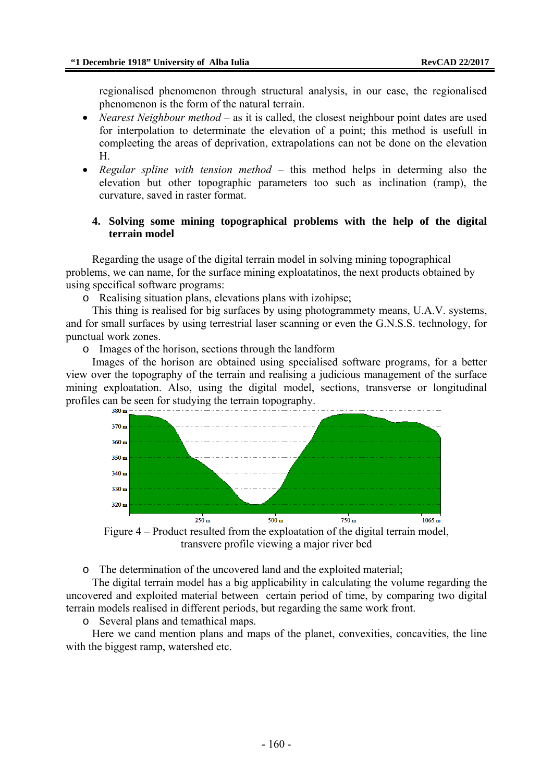regionalised phenomenon through structural analysis, in our case, the regionalised phenomenon is the form of the natural terrain.

- *Nearest Neighbour method* as it is called, the closest neighbour point dates are used for interpolation to determinate the elevation of a point; this method is usefull in compleeting the areas of deprivation, extrapolations can not be done on the elevation H.
- *Regular spline with tension method* this method helps in determing also the elevation but other topographic parameters too such as inclination (ramp), the curvature, saved in raster format.

### **4. Solving some mining topographical problems with the help of the digital terrain model**

Regarding the usage of the digital terrain model in solving mining topographical problems, we can name, for the surface mining exploatatinos, the next products obtained by using specifical software programs:

o Realising situation plans, elevations plans with izohipse;

This thing is realised for big surfaces by using photogrammety means, U.A.V. systems, and for small surfaces by using terrestrial laser scanning or even the G.N.S.S. technology, for punctual work zones.

o Images of the horison, sections through the landform

Images of the horison are obtained using specialised software programs, for a better view over the topography of the terrain and realising a judicious management of the surface mining exploatation. Also, using the digital model, sections, transverse or longitudinal profiles can be seen for studying the terrain topography.



Figure 4 – Product resulted from the exploatation of the digital terrain model, transvere profile viewing a major river bed

o The determination of the uncovered land and the exploited material;

The digital terrain model has a big applicability in calculating the volume regarding the uncovered and exploited material between certain period of time, by comparing two digital terrain models realised in different periods, but regarding the same work front.

o Several plans and temathical maps.

Here we cand mention plans and maps of the planet, convexities, concavities, the line with the biggest ramp, watershed etc.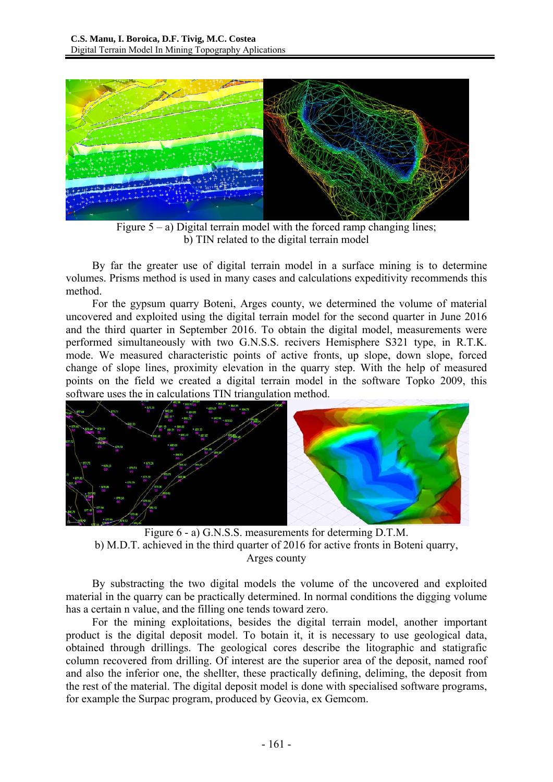

Figure  $5 - a$ ) Digital terrain model with the forced ramp changing lines; b) TIN related to the digital terrain model

By far the greater use of digital terrain model in a surface mining is to determine volumes. Prisms method is used in many cases and calculations expeditivity recommends this method.

For the gypsum quarry Boteni, Arges county, we determined the volume of material uncovered and exploited using the digital terrain model for the second quarter in June 2016 and the third quarter in September 2016. To obtain the digital model, measurements were performed simultaneously with two G.N.S.S. recivers Hemisphere S321 type, in R.T.K. mode. We measured characteristic points of active fronts, up slope, down slope, forced change of slope lines, proximity elevation in the quarry step. With the help of measured points on the field we created a digital terrain model in the software Topko 2009, this software uses the in calculations TIN triangulation method.



Figure 6 - a) G.N.S.S. measurements for determing D.T.M. b) M.D.T. achieved in the third quarter of 2016 for active fronts in Boteni quarry, Arges county

By substracting the two digital models the volume of the uncovered and exploited material in the quarry can be practically determined. In normal conditions the digging volume has a certain n value, and the filling one tends toward zero.

For the mining exploitations, besides the digital terrain model, another important product is the digital deposit model. To botain it, it is necessary to use geological data, obtained through drillings. The geological cores describe the litographic and statigrafic column recovered from drilling. Of interest are the superior area of the deposit, named roof and also the inferior one, the shellter, these practically defining, deliming, the deposit from the rest of the material. The digital deposit model is done with specialised software programs, for example the Surpac program, produced by Geovia, ex Gemcom.